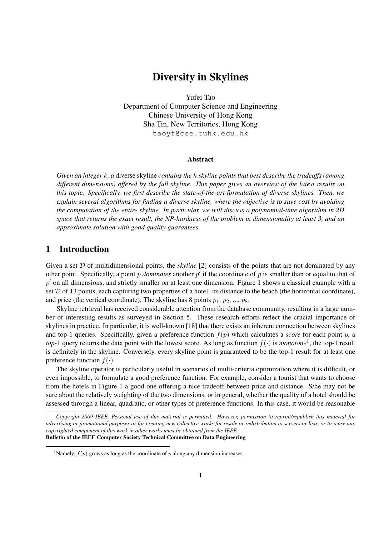# Diversity in Skylines

Yufei Tao Department of Computer Science and Engineering Chinese University of Hong Kong Sha Tin, New Territories, Hong Kong taoyf@cse.cuhk.edu.hk

#### Abstract

*Given an integer k, a* diverse skyline *contains the k skyline points that best describe the tradeoffs (among different dimensions) offered by the full skyline. This paper gives an overview of the latest results on this topic. Specifically, we first describe the state-of-the-art formulation of diverse skylines. Then, we explain several algorithms for finding a diverse skyline, where the objective is to save cost by avoiding the computation of the entire skyline. In particular, we will discuss a polynomial-time algorithm in 2D space that returns the exact result, the NP-hardness of the problem in dimensionality at least 3, and an approximate solution with good quality guarantees.*

## 1 Introduction

Given a set *D* of multidimensional points, the *skyline* [2] consists of the points that are not dominated by any other point. Specifically, a point *p dominates* another *p ′* if the coordinate of *p* is smaller than or equal to that of *p ′* on all dimensions, and strictly smaller on at least one dimension. Figure 1 shows a classical example with a set  $D$  of 13 points, each capturing two properties of a hotel: its distance to the beach (the horizontal coordinate), and price (the vertical coordinate). The skyline has 8 points  $p_1, p_2, ..., p_8$ .

Skyline retrieval has received considerable attention from the database community, resulting in a large number of interesting results as surveyed in Section 5. These research efforts reflect the crucial importance of skylines in practice. In particular, it is well-known [18] that there exists an inherent connection between skylines and top-1 queries. Specifically, given a preference function  $f(p)$  which calculates a *score* for each point  $p$ , a *top*-1 query returns the data point with the lowest score. As long as function  $f(\cdot)$  is *monotone*<sup>1</sup>, the top-1 result is definitely in the skyline. Conversely, every skyline point is guaranteed to be the top-1 result for at least one preference function  $f(.)$ .

The skyline operator is particularly useful in scenarios of multi-criteria optimization where it is difficult, or even impossible, to formulate a good preference function. For example, consider a tourist that wants to choose from the hotels in Figure 1 a good one offering a nice tradeoff between price and distance. S/he may not be sure about the relatively weighting of the two dimensions, or in general, whether the quality of a hotel should be assessed through a linear, quadratic, or other types of preference functions. In this case, it would be reasonable

*Copyright 2009 IEEE. Personal use of this material is permitted. However, permission to reprint/republish this material for advertising or promotional purposes or for creating new collective works for resale or redistribution to servers or lists, or to reuse any copyrighted component of this work in other works must be obtained from the IEEE.* Bulletin of the IEEE Computer Society Technical Committee on Data Engineering

<sup>&</sup>lt;sup>1</sup>Namely,  $f(p)$  grows as long as the coordinate of  $p$  along any dimension increases.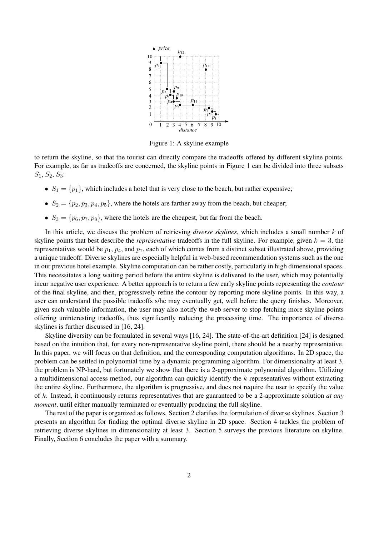

Figure 1: A skyline example

to return the skyline, so that the tourist can directly compare the tradeoffs offered by different skyline points. For example, as far as tradeoffs are concerned, the skyline points in Figure 1 can be divided into three subsets *S*1, *S*2, *S*3:

- $S_1 = \{p_1\}$ , which includes a hotel that is very close to the beach, but rather expensive;
- $S_2 = \{p_2, p_3, p_4, p_5\}$ , where the hotels are farther away from the beach, but cheaper;
- $S_3 = \{p_6, p_7, p_8\}$ , where the hotels are the cheapest, but far from the beach.

In this article, we discuss the problem of retrieving *diverse skylines*, which includes a small number *k* of skyline points that best describe the *representative* tradeoffs in the full skyline. For example, given  $k = 3$ , the representatives would be *p*1, *p*4, and *p*7, each of which comes from a distinct subset illustrated above, providing a unique tradeoff. Diverse skylines are especially helpful in web-based recommendation systems such as the one in our previous hotel example. Skyline computation can be rather costly, particularly in high dimensional spaces. This necessitates a long waiting period before the entire skyline is delivered to the user, which may potentially incur negative user experience. A better approach is to return a few early skyline points representing the *contour* of the final skyline, and then, progressively refine the contour by reporting more skyline points. In this way, a user can understand the possible tradeoffs s/he may eventually get, well before the query finishes. Moreover, given such valuable information, the user may also notify the web server to stop fetching more skyline points offering uninteresting tradeoffs, thus significantly reducing the processing time. The importance of diverse skylines is further discussed in [16, 24].

Skyline diversity can be formulated in several ways [16, 24]. The state-of-the-art definition [24] is designed based on the intuition that, for every non-representative skyline point, there should be a nearby representative. In this paper, we will focus on that definition, and the corresponding computation algorithms. In 2D space, the problem can be settled in polynomial time by a dynamic programming algorithm. For dimensionality at least 3, the problem is NP-hard, but fortunately we show that there is a 2-approximate polynomial algorithm. Utilizing a multidimensional access method, our algorithm can quickly identify the *k* representatives without extracting the entire skyline. Furthermore, the algorithm is progressive, and does not require the user to specify the value of *k*. Instead, it continuously returns representatives that are guaranteed to be a 2-approximate solution *at any moment*, until either manually terminated or eventually producing the full skyline.

The rest of the paper is organized as follows. Section 2 clarifies the formulation of diverse skylines. Section 3 presents an algorithm for finding the optimal diverse skyline in 2D space. Section 4 tackles the problem of retrieving diverse skylines in dimensionality at least 3. Section 5 surveys the previous literature on skyline. Finally, Section 6 concludes the paper with a summary.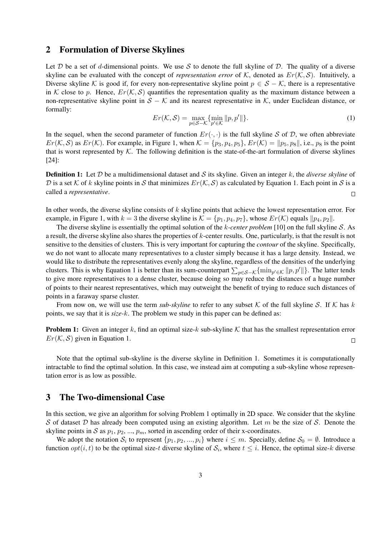### 2 Formulation of Diverse Skylines

Let *D* be a set of *d*-dimensional points. We use *S* to denote the full skyline of *D*. The quality of a diverse skyline can be evaluated with the concept of *representation error* of  $K$ , denoted as  $Er(K, S)$ . Intuitively, a Diverse skyline *K* is good if, for every non-representative skyline point  $p \in S - K$ , there is a representative in *K* close to *p*. Hence,  $Er(K, S)$  quantifies the representation quality as the maximum distance between a non-representative skyline point in *S − K* and its nearest representative in *K*, under Euclidean distance, or formally:

$$
Er(K, S) = \max_{p \in S - K} \{ \min_{p' \in K} ||p, p'|| \}.
$$
 (1)

In the sequel, when the second parameter of function  $Er(\cdot, \cdot)$  is the full skyline *S* of *D*, we often abbreviate  $Er(K, S)$  as  $Er(K)$ . For example, in Figure 1, when  $K = \{p_3, p_4, p_5\}$ ,  $Er(K) = ||p_5, p_8||$ , i.e.,  $p_8$  is the point that is worst represented by  $K$ . The following definition is the state-of-the-art formulation of diverse skylines [24]:

Definition 1: Let *D* be a multidimensional dataset and *S* its skyline. Given an integer *k*, the *diverse skyline* of *D* is a set *K* of *k* skyline points in *S* that minimizes  $Er(K, S)$  as calculated by Equation 1. Each point in *S* is a called a *representative*.  $\Box$ 

In other words, the diverse skyline consists of *k* skyline points that achieve the lowest representation error. For example, in Figure 1, with  $k = 3$  the diverse skyline is  $K = \{p_1, p_4, p_7\}$ , whose  $Er(K)$  equals  $||p_4, p_2||$ .

The diverse skyline is essentially the optimal solution of the *k-center problem* [10] on the full skyline *S*. As a result, the diverse skyline also shares the properties of *k*-center results. One, particularly, is that the result is not sensitive to the densities of clusters. This is very important for capturing the *contour* of the skyline. Specifically, we do not want to allocate many representatives to a cluster simply because it has a large density. Instead, we would like to distribute the representatives evenly along the skyline, regardless of the densities of the underlying clusters. This is why Equation 1 is better than its sum-counterpart  $\sum_{p \in S - K} \{\min_{p' \in K} ||p, p'||\}$ . The latter tends to give more representatives to a dense cluster, because doing so may reduce the distances of a huge number of points to their nearest representatives, which may outweight the benefit of trying to reduce such distances of points in a faraway sparse cluster.

From now on, we will use the term *sub-skyline* to refer to any subset  $K$  of the full skyline S. If  $K$  has  $k$ points, we say that it is *size-k*. The problem we study in this paper can be defined as:

**Problem 1:** Given an integer k, find an optimal size-k sub-skyline K that has the smallest representation error  $Er(K, S)$  given in Equation 1.  $\Box$ 

Note that the optimal sub-skyline is the diverse skyline in Definition 1. Sometimes it is computationally intractable to find the optimal solution. In this case, we instead aim at computing a sub-skyline whose representation error is as low as possible.

# 3 The Two-dimensional Case

In this section, we give an algorithm for solving Problem 1 optimally in 2D space. We consider that the skyline *S* of dataset *D* has already been computed using an existing algorithm. Let *m* be the size of *S*. Denote the skyline points in  $S$  as  $p_1, p_2, ..., p_m$ , sorted in ascending order of their x-coordinates.

We adopt the notation  $S_i$  to represent  $\{p_1, p_2, ..., p_i\}$  where  $i \leq m$ . Specially, define  $S_0 = \emptyset$ . Introduce a function  $opt(i, t)$  to be the optimal size-*t* diverse skyline of  $S_i$ , where  $t \leq i$ . Hence, the optimal size-*k* diverse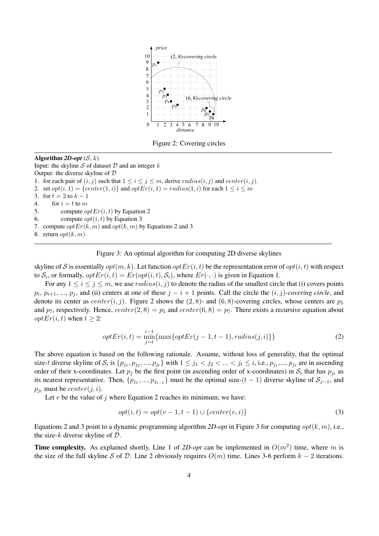

Figure 2: Covering circles

Algorithm  $2D\text{-}opt(S, k)$ Input: the skyline *S* of dataset *D* and an integer *k* Output: the diverse skyline of *D* 1. for each pair of  $(i, j)$  such that  $1 \leq i \leq j \leq m$ , derive  $radius(i, j)$  and  $center(i, j)$ . 2. set  $opt(i, 1) = \{center(1, i)\}$  and  $optEr(i, 1) = radius(1, i)$  for each  $1 \le i \le m$ 3. for  $t = 2$  to  $k - 1$ 4. for  $i = t$  to *m* 5. compute *optEr*(*i, t*) by Equation 2 6. compute  $opt(i, t)$  by Equation 3 7. compute  $optEr(k, m)$  and  $opt(k, m)$  by Equations 2 and 3 8. return *opt*( $k, m$ )

#### Figure 3: An optimal algorithm for computing 2D diverse skylines

skyline of *S* is essentially  $opt(m, k)$ . Let function  $optEr(i, t)$  be the representation error of  $opt(i, t)$  with respect to  $S_i$ , or formally,  $optEr(i, t) = Er(opt(i, t), S_i)$ , where  $Er(\cdot, \cdot)$  is given in Equation 1.

For any  $1 \le i \le j \le m$ , we use  $radius(i, j)$  to denote the radius of the smallest circle that (i) covers points  $p_i, p_{i+1}, ..., p_j$ , and (ii) centers at one of these  $j - i + 1$  points. Call the circle the  $(i, j)$ *-covering circle*, and denote its center as *center* $(i, j)$ . Figure 2 shows the (2,8)- and (6,8)-covering circles, whose centers are  $p_5$ and  $p_7$ , respectively. Hence,  $center(2, 8) = p_5$  and  $center(6, 8) = p_7$ . There exists a recursive equation about *optEr*(*i*, *t*) when  $t \geq 2$ :

$$
optEr(i, t) = \min_{j=t}^{\substack{i-1 \\ i \text{min}}} \{ \max\{ optEr(j-1, t-1), radius(j, i) \} \} \tag{2}
$$

The above equation is based on the following rationale. Assume, without loss of generality, that the optimal size-t diverse skyline of  $S_i$  is  $\{p_{j_1}, p_{j_2}, ..., p_{j_t}\}\$  with  $1 \le j_1 < j_2 < ... < j_t \le i$ , i.e.,  $p_{j_1}, ..., p_{j_t}$  are in ascending order of their x-coordinates. Let  $p_j$  be the first point (in ascending order of x-coordinates) in  $S_i$  that has  $p_{j_t}$  as its nearest representative. Then,  $\{p_{j_1},...,p_{j_{t-1}}\}$  must be the optimal size- $(t-1)$  diverse skyline of  $S_{j-1}$ , and  $p_{i_t}$  must be *center*( $j$ ,  $i$ ).

Let  $v$  be the value of  $j$  where Equation 2 reaches its minimum; we have:

$$
opt(i, t) = opt(v - 1, t - 1) \cup \{center(v, i)\}\tag{3}
$$

Equations 2 and 3 point to a dynamic programming algorithm *2D-opt* in Figure 3 for computing *opt*(*k, m*), i.e., the size-*k* diverse skyline of *D*.

**Time complexity.** As explained shortly, Line 1 of 2D-opt can be implemented in  $O(m^2)$  time, where m is the size of the full skyline *S* of *D*. Line 2 obviously requires  $O(m)$  time. Lines 3-6 perform  $k - 2$  iterations.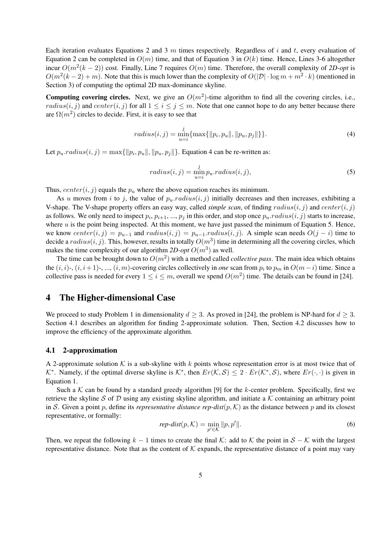Each iteration evaluates Equations 2 and 3 *m* times respectively. Regardless of *i* and *t*, every evaluation of Equation 2 can be completed in  $O(m)$  time, and that of Equation 3 in  $O(k)$  time. Hence, Lines 3-6 altogether incur  $O(m^2(k-2))$  cost. Finally, Line 7 requires  $O(m)$  time. Therefore, the overall complexity of 2D-opt is  $O(m^2(k-2) + m)$ . Note that this is much lower than the complexity of  $O(|\mathcal{D}| \cdot \log m + m^2 \cdot k)$  (mentioned in Section 3) of computing the optimal 2D max-dominance skyline.

**Computing covering circles.** Next, we give an  $O(m^2)$ -time algorithm to find all the covering circles, i.e., *radius*(*i, j*) and *center*(*i, j*) for all  $1 \le i \le j \le m$ . Note that one cannot hope to do any better because there are  $\Omega(m^2)$  circles to decide. First, it is easy to see that

$$
radius(i, j) = \min_{u=i}^j \{ \max\{ ||p_i, p_u||, ||p_u, p_j|| \} \}.
$$
\n(4)

Let  $p_u$ *radius* $(i, j) = \max\{\|p_i, p_u\|, \|p_u, p_j\|\}$ . Equation 4 can be re-written as:

$$
radius(i, j) = \min_{u=i}^{j} p_u. radius(i, j),
$$
\n(5)

Thus,  $center(i, j)$  equals the  $p<sub>u</sub>$  where the above equation reaches its minimum.

As *u* moves from *i* to *j*, the value of  $p_u$ *.radius* $(i, j)$  initially decreases and then increases, exhibiting a V-shape. The V-shape property offers an easy way, called *simple scan*, of finding *radius*(*i, j*) and *center*(*i, j*) as follows. We only need to inspect  $p_i$ ,  $p_{i+1}$ , ...,  $p_j$  in this order, and stop once  $p_u$ *radius* $(i, j)$  starts to increase, where  $u$  is the point being inspected. At this moment, we have just passed the minimum of Equation 5. Hence, we know  $center(i, j) = p_{u-1}$  and  $radius(i, j) = p_{u-1}$ . $radius(i, j)$ . A simple scan needs  $O(j - i)$  time to decide a  $radius(i, j)$ . This, however, results in totally  $O(m^3)$  time in determining all the covering circles, which makes the time complexity of our algorithm  $2D\text{-}opt\ O(m^3)$  as well.

The time can be brought down to  $O(m^2)$  with a method called *collective pass*. The main idea which obtains the  $(i, i)$ -,  $(i, i+1)$ -, ...,  $(i, m)$ -covering circles collectively in *one* scan from  $p_i$  to  $p_m$  in  $O(m-i)$  time. Since a collective pass is needed for every  $1 \le i \le m$ , overall we spend  $O(m^2)$  time. The details can be found in [24].

### 4 The Higher-dimensional Case

We proceed to study Problem 1 in dimensionality  $d > 3$ . As proved in [24], the problem is NP-hard for  $d > 3$ . Section 4.1 describes an algorithm for finding 2-approximate solution. Then, Section 4.2 discusses how to improve the efficiency of the approximate algorithm.

#### 4.1 2-approximation

A 2-approximate solution  $K$  is a sub-skyline with  $k$  points whose representation error is at most twice that of  $K^*$ . Namely, if the optimal diverse skyline is  $K^*$ , then  $Er(K, S) \leq 2 \cdot Er(K^*, S)$ , where  $Er(\cdot, \cdot)$  is given in Equation 1.

Such a  $K$  can be found by a standard greedy algorithm [9] for the  $k$ -center problem. Specifically, first we retrieve the skyline *S* of *D* using any existing skyline algorithm, and initiate a  $K$  containing an arbitrary point in *S*. Given a point *p*, define its *representative distance rep-dist* $(p, K)$  as the distance between *p* and its closest representative, or formally:

$$
rep\text{-}dist(p,\mathcal{K}) = \min_{p' \in \mathcal{K}} ||p,p'||. \tag{6}
$$

Then, we repeat the following  $k - 1$  times to create the final  $K$ : add to  $K$  the point in  $S - K$  with the largest representative distance. Note that as the content of  $K$  expands, the representative distance of a point may vary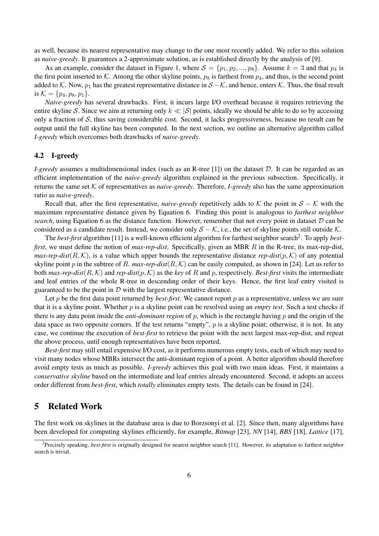as well, because its nearest representative may change to the one most recently added. We refer to this solution as *naive-greedy*. It guarantees a 2-approximate solution, as is established directly by the analysis of [9].

As an example, consider the dataset in Figure 1, where  $S = \{p_1, p_2, ..., p_8\}$ . Assume  $k = 3$  and that  $p_4$  is the first point inserted to  $K$ . Among the other skyline points,  $p_8$  is farthest from  $p_4$ , and thus, is the second point added to *K*. Now, *p*<sup>1</sup> has the greatest representative distance in *S −K*, and hence, enters *K*. Thus, the final result is  $K = \{p_4, p_8, p_1\}.$ 

*Naive-greedy* has several drawbacks. First, it incurs large I/O overhead because it requires retrieving the entire skyline *S*. Since we aim at returning only *k ≪ |S|* points, ideally we should be able to do so by accessing only a fraction of *S*, thus saving considerable cost. Second, it lacks progressiveness, because no result can be output until the full skyline has been computed. In the next section, we outline an alternative algorithm called *I-greedy* which overcomes both drawbacks of *naive-greedy*.

#### 4.2 I-greedy

*I-greedy* assumes a multidimensional index (such as an R-tree [1]) on the dataset *D*. It can be regarded as an efficient implementation of the *naive-greedy* algorithm explained in the previous subsection. Specifically, it returns the same set *K* of representatives as *naive-greedy*. Therefore, *I-greedy* also has the same approximation ratio as *naive-greedy*.

Recall that, after the first representative, *naive-greedy* repetitively adds to  $K$  the point in  $S - K$  with the maximum representative distance given by Equation 6. Finding this point is analogous to *farthest neighbor search*, using Equation 6 as the distance function. However, remember that not every point in dataset *D* can be considered as a candidate result. Instead, we consider only *S − K*, i.e., the set of skyline points still outside *K*.

The *best-first* algorithm [11] is a well-known efficient algorithm for farthest neighbor search<sup>2</sup>. To apply *bestfirst*, we must define the notion of *max-rep-dist*. Specifically, given an MBR *R* in the R-tree, its max-rep-dist, *max-rep-dist*( $R$ ,  $K$ ), is a value which upper bounds the representative distance *rep-dist*( $p$ ,  $K$ ) of any potential skyline point p in the subtree of R. max-rep-dist $(R, K)$  can be easily computed, as shown in [24]. Let us refer to both  $max$ -rep-dist $(R, K)$  and  $rep$ -dist $(p, K)$  as the *key* of *R* and *p*, respectively. Best-first visits the intermediate and leaf entries of the whole R-tree in descending order of their keys. Hence, the first leaf entry visited is guaranteed to be the point in  $D$  with the largest representative distance.

Let *p* be the first data point returned by *best-first*. We cannot report *p* as a representative, unless we are sure that it is a skyline point. Whether *p* is a skyline point can be resolved using an *empty test*. Such a test checks if there is any data point inside the *anti-dominant region* of *p*, which is the rectangle having *p* and the origin of the data space as two opposite corners. If the test returns "empty", *p* is a skyline point; otherwise, it is not. In any case, we continue the execution of *best-first* to retrieve the point with the next largest max-rep-dist, and repeat the above process, until enough representatives have been reported.

*Best-first* may still entail expensive I/O cost, as it performs numerous empty tests, each of which may need to visit many nodes whose MBRs intersect the anti-dominant region of a point. A better algorithm should therefore avoid empty tests as much as possible. *I-greedy* achieves this goal with two main ideas. First, it maintains a *conservative skyline* based on the intermediate and leaf entries already encountered. Second, it adopts an access order different from *best-first*, which *totally* eliminates empty tests. The details can be found in [24].

### 5 Related Work

The first work on skylines in the database area is due to Borzsonyi et al. [2]. Since then, many algorithms have been developed for computing skylines efficiently, for example, *Bitmap* [23], *NN* [14], *BBS* [18], *Lattice* [17],

<sup>2</sup> Precisely speaking, *best-first* is originally designed for nearest neighbor search [11]. However, its adaptation to farthest neighbor search is trivial.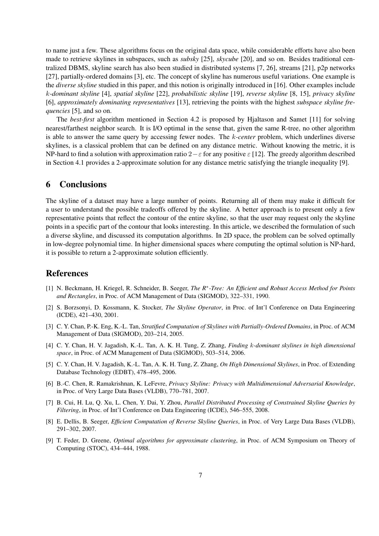to name just a few. These algorithms focus on the original data space, while considerable efforts have also been made to retrieve skylines in subspaces, such as *subsky* [25], *skycube* [20], and so on. Besides traditional centralized DBMS, skyline search has also been studied in distributed systems [7, 26], streams [21], p2p networks [27], partially-ordered domains [3], etc. The concept of skyline has numerous useful variations. One example is the *diverse skyline* studied in this paper, and this notion is originally introduced in [16]. Other examples include *k-dominant skyline* [4], *spatial skyline* [22], *probabilistic skyline* [19], *reverse skyline* [8, 15], *privacy skyline* [6], *approximately dominating representatives* [13], retrieving the points with the highest *subspace skyline frequencies* [5], and so on.

The *best-first* algorithm mentioned in Section 4.2 is proposed by Hjaltason and Samet [11] for solving nearest/farthest neighbor search. It is I/O optimal in the sense that, given the same R-tree, no other algorithm is able to answer the same query by accessing fewer nodes. The *k-center* problem, which underlines diverse skylines, is a classical problem that can be defined on any distance metric. Without knowing the metric, it is NP-hard to find a solution with approximation ratio 2*−ε* for any positive *ε* [12]. The greedy algorithm described in Section 4.1 provides a 2-approximate solution for any distance metric satisfying the triangle inequality [9].

# 6 Conclusions

The skyline of a dataset may have a large number of points. Returning all of them may make it difficult for a user to understand the possible tradeoffs offered by the skyline. A better approach is to present only a few representative points that reflect the contour of the entire skyline, so that the user may request only the skyline points in a specific part of the contour that looks interesting. In this article, we described the formulation of such a diverse skyline, and discussed its computation algorithms. In 2D space, the problem can be solved optimally in low-degree polynomial time. In higher dimensional spaces where computing the optimal solution is NP-hard, it is possible to return a 2-approximate solution efficiently.

### References

- [1] N. Beckmann, H. Kriegel, R. Schneider, B. Seeger, *The R<sup>∗</sup> -Tree: An Efficient and Robust Access Method for Points and Rectangles*, in Proc. of ACM Management of Data (SIGMOD), 322–331, 1990.
- [2] S. Borzsonyi, D. Kossmann, K. Stocker, *The Skyline Operator*, in Proc. of Int'l Conference on Data Engineering (ICDE), 421–430, 2001.
- [3] C. Y. Chan, P.-K. Eng, K.-L. Tan, *Stratified Computation of Skylines with Partially-Ordered Domains*, in Proc. of ACM Management of Data (SIGMOD), 203–214, 2005.
- [4] C. Y. Chan, H. V. Jagadish, K.-L. Tan, A. K. H. Tung, Z. Zhang, *Finding k-dominant skylines in high dimensional space*, in Proc. of ACM Management of Data (SIGMOD), 503–514, 2006.
- [5] C. Y. Chan, H. V. Jagadish, K.-L. Tan, A. K. H. Tung, Z. Zhang, *On High Dimensional Skylines*, in Proc. of Extending Database Technology (EDBT), 478–495, 2006.
- [6] B.-C. Chen, R. Ramakrishnan, K. LeFevre, *Privacy Skyline: Privacy with Multidimensional Adversarial Knowledge*, in Proc. of Very Large Data Bases (VLDB), 770–781, 2007.
- [7] B. Cui, H. Lu, Q. Xu, L. Chen, Y. Dai, Y. Zhou, *Parallel Distributed Processing of Constrained Skyline Queries by Filtering*, in Proc. of Int'l Conference on Data Engineering (ICDE), 546–555, 2008.
- [8] E. Dellis, B. Seeger, *Efficient Computation of Reverse Skyline Queries*, in Proc. of Very Large Data Bases (VLDB), 291–302, 2007.
- [9] T. Feder, D. Greene, *Optimal algorithms for approximate clustering*, in Proc. of ACM Symposium on Theory of Computing (STOC), 434–444, 1988.